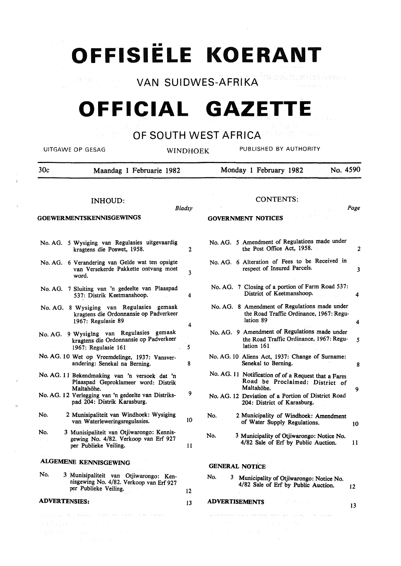•• **OFFISIELE KOERANT** 

**VAN SUIDWES-AFRIKA DE SERRIKA DE SERRIKA DE SERRIKA DE SERRIKA DE SERRIKA DE SER** 

# **OFFICIAL GAZETTE**

## OF SOUTH WEST AFRICANDED SERVICE

|     | UITGAWE OP GESAG                                                                                                                                                                         | WINDHOEK |     | PUBLISHED BY AUTHORITY                                                                                                                                                                         |
|-----|------------------------------------------------------------------------------------------------------------------------------------------------------------------------------------------|----------|-----|------------------------------------------------------------------------------------------------------------------------------------------------------------------------------------------------|
| 30c | Maandag 1 Februarie 1982                                                                                                                                                                 |          |     | No. 4590<br>Monday 1 February 1982                                                                                                                                                             |
|     | <b>INHOUD:</b><br><b>GOEWERMENTSKENNISGEWINGS</b>                                                                                                                                        | Bladsy   |     | <b>CONTENTS:</b><br>Page<br><b>GOVERNMENT NOTICES</b>                                                                                                                                          |
|     | No. AG. 5 Wysiging van Regulasies uitgevaardig<br>kragtens die Poswet, 1958.                                                                                                             | 2        |     | No. AG. 5 Amendment of Regulations made under<br>the Post Office Act, 1958.                                                                                                                    |
|     | No. AG. 6 Verandering van Gelde wat ten opsigte<br>van Versekerde Pakkette ontvang moet<br>word.                                                                                         | 3        |     | No. AG. 6 Alteration of Fees to be Received in<br>respect of Insured Parcels.                                                                                                                  |
|     | No. AG. 7 Sluiting van 'n gedeelte van Plaaspad<br>537: Distrik Keetmanshoop.                                                                                                            | 4        |     | No. AG. 7 Closing of a portion of Farm Road 537:<br>District of Keetmanshoop.<br>4                                                                                                             |
|     | No. AG. 8 Wysiging van Regulasies gemaak<br>kragtens die Ordonnansie op Padverkeer<br>1967: Regulasie 89                                                                                 | 4        |     | No. AG. 8 Amendment of Regulations made under<br>the Road Traffic Ordinance, 1967: Regu-<br>lation 89<br>4                                                                                     |
|     | No. AG. 9 Wysiging van Regulasies gemaak<br>kragtens die Ordonnansie op Padverkeer<br>1967: Regulasie 161                                                                                | 5        |     | No. AG. 9 Amendment of Regulations made under<br>the Road Traffic Ordinance, 1967: Regu-<br>lation 161                                                                                         |
|     | No. AG. 10 Wet op Vreemdelinge, 1937: Vansver-<br>andering: Senekal na Berning.                                                                                                          | 8        |     | No. AG. 10 Aliens Act, 1937: Change of Surname:<br>Senekal to Berning.                                                                                                                         |
|     | No. AG. 11 Bekendmaking van 'n versoek dat 'n<br>Plaaspad Geproklameer word: Distrik<br>Maltahöhe.<br>No. AG. 12 Verlegging van 'n gedeelte van Distriks-<br>pad 204: Distrik Karasburg. | 9        |     | No. AG. 11 Notification of of a Request that a Farm<br>Road be Proclaimed: District of<br>Maltahöhe.<br>9<br>No. AG. 12 Deviation of a Portion of District Road<br>204: District of Karasburg. |
| No. | 2 Munisipaliteit van Windhoek: Wysiging<br>van Waterleweringsregulasies.                                                                                                                 | 10       | No. | 2 Municipality of Windhoek: Amendment<br>of Water Supply Regulations.<br>10                                                                                                                    |
| No. | 3 Munisipaliteit van Otjiwarongo: Kennis-<br>gewing No. 4/82. Verkoop van Erf 927<br>per Publieke Veiling.                                                                               | 11       | No. | 3 Municipality of Otjiwarongo: Notice No.<br>4/82 Sale of Erf by Public Auction.<br>11                                                                                                         |
|     | <b>ALGEMENE KENNISGEWING</b>                                                                                                                                                             |          |     | the theory of the state of<br><b>GENERAL NOTICE</b>                                                                                                                                            |
| No. | 3 Munisipaliteit van Otjiwarongo: Ken-<br>nisgewing No. 4/82. Verkoop van Erf 927<br>per Publieke Veiling.                                                                               | 12       | No. | 3 Municipality of Otjiwarongo: Notice No.<br>4/82 Sale of Erf by Public Auction.<br>12                                                                                                         |
|     | <b>ADVERTENSIES:</b>                                                                                                                                                                     | 13       |     | <b>ADVERTISEMENTS</b><br>an de la cel<br>13                                                                                                                                                    |
|     | and a consequent of the company and consequent with the consequent of the company of the company of the company of                                                                       |          |     | 网络美国新闻 网络黑色的 医外侧骨 医心包膜 医细胞杂志 计编译程序 人名英格兰人姓氏格里尔的变体 化三氯化合物 人名英格兰人姓氏                                                                                                                              |

J.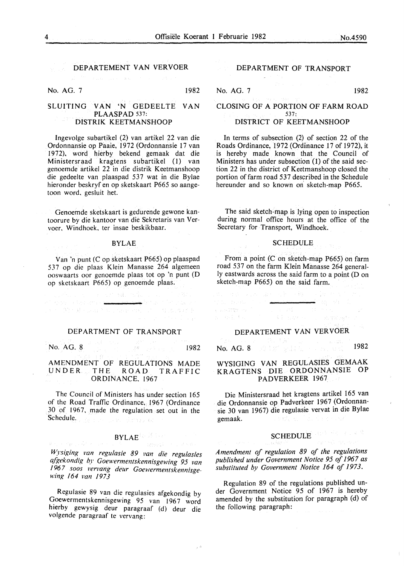### DEPARTEMENT VAN VERVOER

.<br>Statistički pripada i podatka

No. AG. 7 1982

### SLUITING VAN 'N GEDEELTE VAN PLAASPAD 537: DISTRIK KEETMANSHOOP

Ingevolge subartikel (2) van artikel 22 van die Ordonnansie op Paaie, 1972 (Ordonnansie 17 van I 972), word hierby bekend gemaak dat die Ministersraad kragtens subartikel (1) van genoemde artikel 22 in die distrik Keetmanshoop die gedeelte van plaaspad 537 wat in die Bylae hieronder beskryf en op sketskaart P665 so aangetoon word, gesluit het.

Genoemde sketskaart is gedurende gewone kantoorure by die kantoor van die Sekretaris van Vervoer, Windhoek, ter insae beskikbaar.

#### BYLAE

Van 'n punt (Cop sketskaart P665) op plaaspad 537 op die plaas Klein Manasse 264 algemeen ooswaarts oor genoemde plaas tot op 'n punt (D op sketskaart P665) op genoemde plaas.

 $\pm$  527, 841, 3545.

and Westername and an analysis

**SAND CONSTRUCTION** 

#### DEPARTMENT OF TRANSPORT

No. AG. 8 1982

AMENDMENT OF REGULATIONS MADE UNDER THE ROAD TRAFFIC ORDINANCE, 1967

The Council of Ministers has under section 165 of the Road Traffic Ordinance, 1967 (Ordinance 30 of 1967, made the regulation set out in the Schedule. The communications of

### BYLAE<sup>(2013</sup> lead)

Samsonia ()

*Wysiging van regulasie 89 t•an die regulasies afgekondig by Goewermentskennisgewing 95 van /96* 7 *soos l'ervang deur Goewermentskennisgewing 164 van 1973* 

Regulasie 89 van die regulasies afgekondig by Goewermentskennisgewing 95 van 1967 word hierby gewysig deur paragraaf (d) deur die volgende paragraaf te vervang:

#### DEPARTMENT OF TRANSPORT

#### No. AG. 7 1982

 $\chi$  -  $\chi_1^{\rm max}$  ,  $\chi_2^{\rm max}$  ,  $\chi_3$ 

#### CLOSING OF A PORTION OF FARM ROAD 537: DISTRICT OF KEETMANSHOOP

In terms of subsection (2) of section 22 of the Roads Ordinance, 1972 (Ordinance 17 of 1972), it is hereby made known that the Council of Ministers has under subsection (1) of the said section 22 in the district of Keetmanshoop closed. the portion of farm road 537 described in the Schedule hereunder and so known on sketch-map P665.

The said sketch-map is lying open to inspection during normal office hours at the office of the Secretary for Transport, Windhoek.

#### **SCHEDULE**

From a point (C on sketch-map P665) on farm road 537 on the farm Klein Manasse 264 generally eastwards across the said farm to a point (D on sketch-map P665) on the said farm.

#### DEPARTEMENT VAN VERVOER

No. AG. 8 1982 (Stephen Products)<br>No. AG. 8 1982 (Stephen Products)

### WYSIGING VAN REGULASIES GEMAAK KRAGTENS DIE ORDONNANSIE OP PADVERKEER 1967

Die Ministersraad het kragtens artikel 165 van die Ordonnansie op Padverkeer 1967 (Ordonnansie 30 van 1967) die regulasie vervat in die Bylae gemaak. orather is the first

## SCHEDULE **SCHEDULE**

*Amendment of regulation 89 of the regulations published under Government Notice 95 of 1967 as*  substituted by Government Notice 164 of 1973.

Regulation 89 of the regulations published under Government Notice 95 of 1967 is hereby amended by the substitution for paragraph (d) of the following paragraph: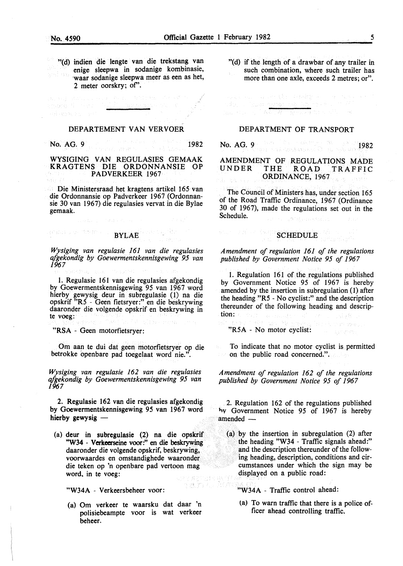"{d) indien die lengte van die trekstang van enige sleepwa in sodanige kombinasie, ·waar sodanige sleepwa meer as een as het, 2 meter oorskry; of'.

#### DEPARTEMENT VAN VERVOER

No. AG. 9 **1982** 

endre foreig

WYSIGING VAN REGULASIES GEMAAK KRAGTENS DIE ORDONNANSIE OP PADVERKEER 1967

Die Ministersraad het kragtens artikel 165 van die Ordonnansie op Padverkeer 1967 {Ordonnansie 30 van 1967) die regulasies vervat in die Bylae gemaak.

#### enwag wordte procur kan ng Br BYLAE

*Wysiging van regulasie 161 van die regulasies qfgekondig by Goewermentskennisgewing 95 van 1967* 

1. Regulasie 161 van die regulasies afgekondig by Goewermentskennisgewing 95 van 1967 word hierby gewysig deur in subregulasie (1) na die opskrif "R5 - Geen fietsryer :" en die beskrywing daaronder die volgende opskrif en beskrywing in te voeg:

"RSA - Geen motorfietsryer:

Om aan te dui dat geen motorfietsryer op die betrokke openbare pad toegelaat word nie.".

*Wysiging van regulasie 162 van die regulasies qfgekondig by Goewermentskennisgewing 95 van 1967* 

2. Regulasie 162 van die regulasies afgekondig by Goewermentskennisgewing 95 van 1967 word hierby gewysig -

(a) deur in subregulasie {2) na die opskrif "W34 - Verkeerseine voor:" en die beskrywing daaronder die volgende opskrif, beskrywing, voorwaardes en omstandighede waaronder die teken op 'n openbare pad vertoon mag word, in te voeg: SPY #ETHIS

"W34A - Verkeersbeheer voor:

{a) Om verkeer te waarsku dat daar 'n polisiebeampte voor is wat verkeer beheer.

teur A

"{d) if the length of a drawbar of any trailer in such combination, where such trailer has more than one axle, exceeds 2 metres; or".

#### DEPARTMENT OF TRANSPORT

รเด็บราง (รณะชาวประชุม al de la Roma

No. AG. 9 1982 - 1982 - 1982 - 1982 - 1982 - 1982 - 1982 - 1982 - 1982 - 1982 - 1982 - 1982 - 1982 - 1982 - 19

AMENDMENT OF REGULATIONS MADE THE ROAD TRAFFIC ORDINANCE, 1967  $\chi^2_{\rm{min}} \sim \tau_{\rm{B}}^{-1}$ 

The Council of Ministers has, under section 165 of the Road Traffic Ordinance, 1967 (Ordinance 30 of 1967), made the regulations set out in the Schedule. .<br>Statistički rima

# $\begin{picture}(150,10) \put(0,0){\vector(1,0){10}} \put(10,0){\vector(1,0){10}} \put(10,0){\vector(1,0){10}} \put(10,0){\vector(1,0){10}} \put(10,0){\vector(1,0){10}} \put(10,0){\vector(1,0){10}} \put(10,0){\vector(1,0){10}} \put(10,0){\vector(1,0){10}} \put(10,0){\vector(1,0){10}} \put(10,0){\vector(1,0){10}} \put(10,0){\vector(1,0){10}} \put(10,0){\vector($

#### *Amendment of regulation 161 of the regulations published by Government Notice 95 of 1967*

1. Regulation 161 of the. regulations published by Government Notice 95 of 1967 is hereby amended by the insertion in subregulation (1) after the heading "R5 - No cyclist:" and the description thereunder of the following heading and description:  $\mathcal{E}(\mathcal{A}(\mathcal{A})) = \mathcal{E}(\mathcal{A}(\mathcal{A}))$  ,  $\mathcal{E}(\mathcal{A}) = \mathcal{E}(\mathcal{A})$ 

"R5A - No motor cyclist:

New Plane Walk

To indicate that no motor cyclist is permitted on the public road concerned.".

*Amendment of regulation 162 of the regulations published by Government Notice 95 of 1967* 

2. Regulation 162 of the regulations published 1,v Government Notice 95 of 1967 is hereby  $amended-$ 

 $(a)$  by the insertion in subregulation  $(2)$  after the heading "W34 - Traffic signals ahead:" and the description thereunder of the following heading, description, conditions and circumstances under which the sign may be displayed on a public road:

"W34A - Traffic control ahead:

(a) To warn traffic that there is a police officer ahead controlling traffic.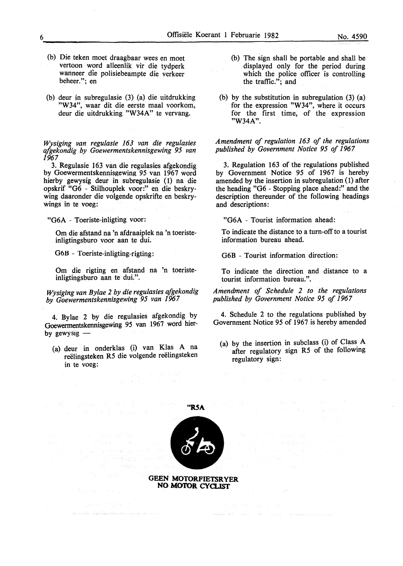- (b) Die teken moet draagbaar wees en moet vertoon word alleenlik vir die tydperk wanneer die polisiebeampte die verkeer beheer."; en
- (b) deur in subregulasie (3) (a) die uitdrukking "W34", waar dit die eerste maal voorkom, deur die uitdrukking "W34A" te vervang.

*Wysiging van regulasie 163 van die regulasies afgekondig by Goewermentskennisgewing 95 van 1967* 

3. Regulasie 163 van die regulasies afgekondig by Goewermentskennisgewing 95 van 1967 word hierby gewysig deur in subregulasie (1) na die opskrif "G6 - Stilhouplek voor:" en die beskrywing daaronder die volgende opskrifte en beskrywings in te voeg:

"G6A - Toeriste-inligting voor:

Om die afstand na 'n afdraaiplek na 'n toeristeinligtingsburo voor aan te dui.

G6B - Toeriste-inligting-rigting:

Om die rigting en afstand na 'n toeristeinligtingsburo aan te dui.".

*Wysiging van Bylae 2 by die regulasies afgekondig by Goewermentskennisgewing 95 van 1967* 

4. Bylae 2 by die regulasies afgekondig by Goewermentskennisgewing 95 van 1967 word bierby gewysig  $-$ 

(a) deur in onderklas (i) van Klas A na reëlingsteken R5 die volgende reëlingsteken in te voeg:

- (b) The sign shall be portable and shall be displayed only for the period during which the police officer is controlling the traffic."; and
- (b) by the substitution in subregulation (3) (a) for the expression "W34", where it occurs for the first time, of the expression "W34A".

*Amendment of regulation 163 of the regulations published by Government Notice 95 of 1967* 

3. Regulation 163 of the regulations published by Government Notice 95 of 1967 is hereby amended by the insertion in subregulation (1) after the heading "G6 - Stopping place ahead:" and the description thereunder of the following headings and descriptions:

"G6A - Tourist information ahead:

To indicate the distance to a turn-off to a tourist information bureau ahead.

G6B - Tourist information direction:

To indicate the direction and distance to a tourist information bureau.".

*Amendment of Schedule 2 to the regulations published by Government Notice 95 of 1967* 

4. Schedule 2 to the regulations published by Government Notice 95 of 1967 is hereby amended

(a) by the insertion in subclass (i) of Class A after regulatory sign R5 of the following regulatory sign:

liga at existenc

gallery to the construction of the construction

**'"RSA** 

stand the digital and proportional state Source of the Automatic published **GEEN MOTORFIETSRYER** 

高出化 计不可

 $\label{eq:1} \mathbb{E}[\hat{\mathcal{A}}_{\mathcal{B}}] = \hat{\mathcal{A}}_{\mathcal{B}} \hat{\mathcal{A}}_{\mathcal{B}} \hat{\mathcal{A}}_{\mathcal{B}} = \hat{\mathcal{A}}_{\mathcal{B}} \hat{\mathcal{A}}_{\mathcal{B}} \hat{\mathcal{A}}_{\mathcal{B}} \hat{\mathcal{A}}_{\mathcal{B}} \hat{\mathcal{A}}_{\mathcal{B}} = \hat{\mathcal{A}}_{\mathcal{B}} \hat{\mathcal{A}}_{\mathcal{B}} \hat{\mathcal{A}}_{\mathcal{B}} \hat{\mathcal{A}}_{\mathcal{B}} \hat{\mathcal{A}}$ 

- Salahan Santa - Salah Salam Salam - Salam - Salam Salam Salam Salam Salam Salam Salam

为实验 医双头的

 $\sim 10^{21}$ 



**NO MO'IOR CYO..IST**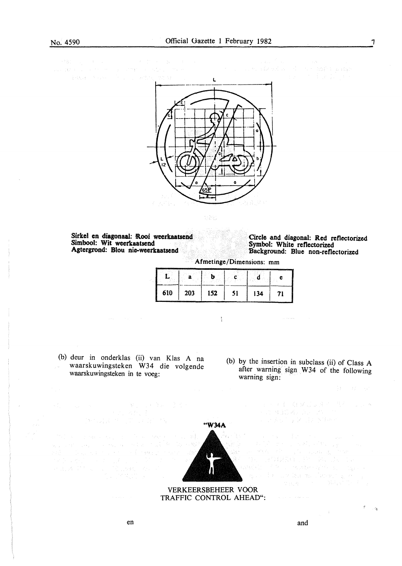$\begin{split} \mathcal{P} & \mathbf{B}^{\text{R}}_{\text{G}} \left( \begin{array}{cc} \mathcal{E}_{\text{G}} & \mathcal{E}_{\text{G}} & \mathcal{E}_{\text{G}} \\ \mathcal{E}_{\text{G}} & \mathcal{E}_{\text{G}} & \mathcal{E}_{\text{G}} \end{array} \right) \mathcal{E}_{\text{G}} \left( \begin{array}{cc} \mathcal{E}_{\text{G}} & \mathcal{E}_{\text{G}} \\ \mathcal{E}_{\text{G}} & \mathcal{E}_{\text{G}} & \mathcal{E}_{\text{G}} \end{array} \right) \mathcal{E}_{\text{G}} \left$ 



**DAR** 

Sirkel en diagonaal: Rooi weerkaatsend Simbool: Wit weerkaatsend Agtergrond: Blou nie-weerkaatsend

Circle and diagonal: Red refiectorized Symbol: White refiectorized Background: Blue non-refiectorized

Afmetinge/Dimensions: mm

| <b>Contract of the contract of the contract of the contract of the contract of the contract of the contract of the</b><br>company | <b>CONTRACTOR</b> | 2010/01/2010 02:00:00 02:00:00 02:00:00 02:00:00 02:00:00<br>53.35 | <b><i><u>POSSIBURES</u></i></b> | --<br>14.40 | <b>A STORIES IN A REPORT FOR THE REAL</b><br>e |
|-----------------------------------------------------------------------------------------------------------------------------------|-------------------|--------------------------------------------------------------------|---------------------------------|-------------|------------------------------------------------|
| 610                                                                                                                               | 203               | 152                                                                | ٢1                              | 134         | 71<br>وينتبذ                                   |

 $\frac{1}{2}$ 

(b) deur in onderklas (ii) van Klas A na waarskuwingsteken W34 die volgende waarskuwingsteken in te voeg:

(b) by the insertion in subclass (ii) of Class A after warning sign W34 of the following warning sign:

コードル・エレス(メジュタイ) サイトリング<br>- アートロールの構造者のカルマン

经计算提升量 紧急量 医特洛氏

 $\tau_{\rm{max}}$  is a second second  $\tau_{\rm{max}}$ 



TRAFFIC CONTROL AHEAD":

 $\frac{1}{2\pi}$ 

 $\mathbf{a}$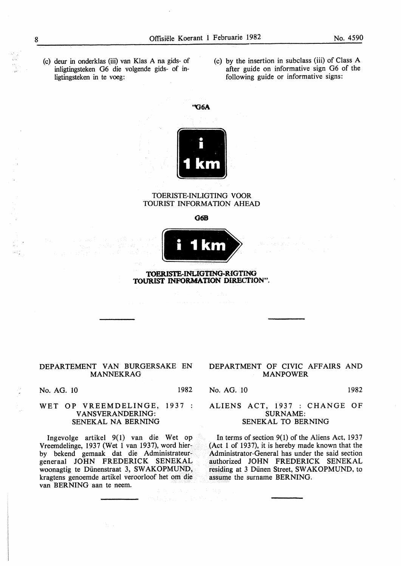- (c) deur in onderklas (iii) van Klas A na gids- of inligtingsteken G6 die volgende gids- of inligtingsteken in te voeg:
- (c) by the insertion in subclass (iii) of Class A after guide on informative sign G6 of the following guide or informative signs:



#### TOERISTE-INLIGTING VOOR TOURIST INFORMATION AHEAD

**G6B** 



#### **TOERISTE-INLIGTING-RIGTING TOURIST INFORMATION DIRECTION".**

### DEPARTEMENT VAN BURGERSAKE EN MANNEKRAG

No. AG. 10 1982

#### WET OP VREEMDELINGE, 1937 : VANSVERANDERING: SENEKAL NA BERNING

lngevolge artikel 9(1) van die Wet op Vreemdelinge, 1937 (Wet 1 van 1937), word bierby bekend gemaak dat die Administrateurgeneraal JOHN FREDERICK SENEKAL woonagtig te Diinenstraat 3, SW AKOPMUND, kragtens genoemde artikel veroorloof het om die van BERNING aan te neem.

 $\mathcal{W}_{\mathcal{C}}$  .

#### DEPARTMENT OF CIVIC AFFAIRS AND MANPOWER

No. AG. 10 1982

#### ALIENS ACT, 1937 : CHANGE OF SURNAME: SENEKAL TO BERNING

In terms of section  $9(1)$  of the Aliens Act, 1937 (Act 1 of 1937), it is hereby made known that the Administrator-General has under the said section authorized JOHN FREDERICK SENEKAL residing at 3 Diinen Street, SWAKOPMUND, to assume the surname BERNING.

8

.•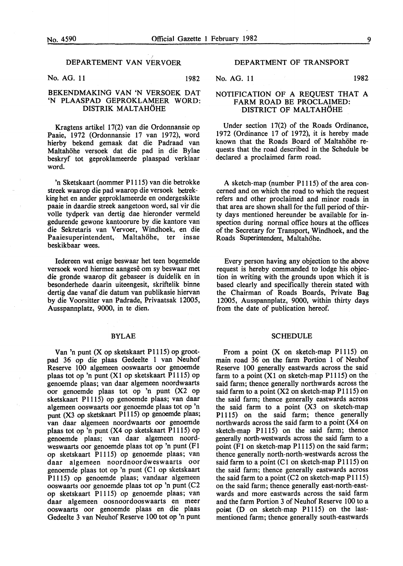#### DEPARTEMENT VAN VERVOER

No. AG. 11 1982

### BEKENDMAKING VAN 'N VERSOEK DAT 'N PLAASPAD GEPROKLAMEER WORD: DISTRIK MALTAHOHE

Kragtens artikel 17(2) van die Ordonnansie op Paaie, 1972 (Ordonnansie 17 van 1972), word hierby bekend gemaak dat die Padraad van Maltahöhe versoek dat die pad in die Bylae beskryf tot geproklameerde plaaspad verklaar word.

'n Sketskaart (nommer P 111S) van die betrokke streek waarop die pad waarop die versoek betrekking het en ander geproklameerde en ondergeskikte paaie in daardie streek aangetoon word, sal vir die volle tydperk van dertig dae hieronder vermeld gedurende gewone kantoorure by die kantore van die Sekretaris van Vervoer, Windhoek, en die Paaiesuperintendent, Maltahöhe, ter insae beskikbaar wees.

Iedereen wat enige beswaar het teen bogemelde versoek word hiermee aangese om sy beswaar met die gronde waarop dit gebaseer is duidelik en in besonderhede daarin uiteengesit, skriftelik binne dertig dae vanaf die datum van publikasie hiervan by die Voorsitter van Padrade, Privaatsak 1200S, Ausspannplatz, 9000, in te dien.

#### BYLAE

Van 'n punt (X op sketskaart P1115) op grootpad 36 op die plaas Gedeelte 1 van Neuhof Reserve 100 algemeen ooswaarts oor genoemde plaas tot op 'n punt (XI op sketskaart P111S) op genoemde plaas; van daar algemeen noordwaarts oor genoemde plaas tot op 'n punt (X2 op sketskaart P111S) op genoemde plaas; van daar algemeen ooswaarts oor genoemde plaas tot op 'n punt (X3 op sketskaart Pll1S) op genoemde plaas; van daar algemeen noordwaarts oor genoemde plaas tot op 'n punt (X4 op sketskaart P1115) op genoemde plaas; van daar algemeen noordweswaarts oor genoemde plaas tot op 'n punt (F1 op sketskaart Pll1S) op genoemde plaas; van daar algemeen noordnoordweswaarts oor genoemde plaas tot op 'n punt (C 1 op sketskaart P111S) op genoemde plaas; vandaar algemeen ooswaarts oor genoemde plaas tot op 'n punt (C2 op sketskaart P1115) op genoemde plaas; van daar algemeen oosnoordooswaarts en meer ooswaarts oor genoemde plaas en die plaas Gedeelte 3 van Neuhof Reserve 100 tot op 'n punt

#### DEPARTMENT OF TRANSPORT

No. AG. 11 1982

#### NOTIFICATION OF A REQUEST THAT A FARM ROAD BE PROCLAIMED: DISTRICT OF MALTAHOHE

Under section 17(2) of the Roads Ordinance, 1972 (Ordinance 17 of 1972), it is hereby made known that the Roads Board of Maltahöhe requests that the road described in the Schedule be declared a proclaimed farm road.

A sketch-map (number P1115) of the area concerned and on which the road to which the request refers and other proclaimed and minor roads in that area are shown shall for the full period of thirty days mentioned hereunder be available for inspection during normal office hours at the offices of the Secretary for Transport, Windhoek, and the Roads Superintendent, Maltahohe.

Every person having any objection to the above request is hereby commanded to lodge his objection in writing with the grounds upon which it is based clearly and specifically therein stated with the Chairman of Roads Boards, Private Bag 1200S, Ausspannplatz, 9000, within thirty days from the date of publication hereof.

#### **SCHEDULE**

From a point  $(X \text{ on sketch-map } P1115)$  on main road 36 on the farm Portion 1 of Neuhof Reserve 100 generally eastwards across the said farm to a point  $(X1)$  on sketch-map P1115) on the said farm; thence generally northwards across the said farm to a point  $(X2 \text{ on sketch-map } P1115)$  on the said farm; thence generally eastwards across the said farm to a point (X3 on sketch-map P111S) on the said farm; thence generally northwards across the said farm to a point (X4 on sketch-map P111S) on the said farm; thence generally north-westwards across the said farm to a point  $(F1$  on sketch-map  $P1115$ ) on the said farm; thence generally north-north-westwards across the said farm to a point  $(C1$  on sketch-map P1115) on the said farm; thence generally eastwards across the said farm to a point  $(C2$  on sketch-map  $P1115)$ on the said farm; thence generally east-north-eastwards and more eastwards across the said farm and the farm Portion 3 of Neuhof Reserve 100 to a point (D on sketch-map P1115) on the lastmentioned farm; thence generally south-eastwards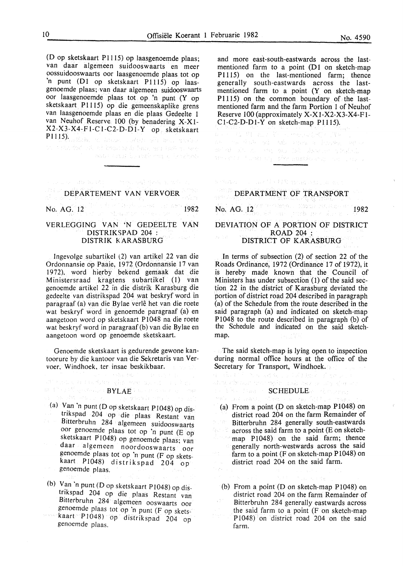(D op sketskaart P1115) op laasgenoemde plaas; van daar algemeen suidooswaarts en meer oossuidooswaarts oor laasgenoemde plaas tot op 'n punt (D1 op sketskaart P1115) op laasgenoemde plaas; van daar algemeen suidooswaarts oor laasgenoemde plaas tot op 'n punt (Y op sketskaart P1115) op die gemeenskaplike grens van Iaasgenoemde plaas en die plaas Gedeelte 1 van Neuhof Reserve. 100 (by benadering X-X1- X2-X3-X4-Fl-CI-C2-D-Dl-Y op sketskaart Plll15). The finance of the second second second

.<br>De stad for tal ef hope se li fam, ont anti-gu one man cann be replaced as backed.

and all the control and more all the DEPARTEMENT VAN VERVOER No. AG. 12 1982

#### VERLEGGING VAN 'N GEDEELTE VAN DISTRIKSPAD 204 : DISTRIK K ARASBURG

Ingevolge subartikel (2) van artikel 22 van die Ordonnansie op Paaie, 1972 (Ordonnansie 17 van 1972). word hierby bekend gemaak dat die Ministersraad kragtens subartikel (I) van genoemde artikel 22 in die distrik Karasburg die gedeelte van distrikspad 204 wat beskryf word in paragraaf (a) van die Bylae verle het van die roete wat beskryf word in genoemde paragraaf (a) en aangetoon word op sketskaart P1048 na die roete wat beskryf word in paragraaf (b) van die Bylae en aangetoon word op genoemde sketskaart.

Genoemde sketskaart is gedurende gewone kantoorure by die kantoor van die Sekretaris van Vervoer. Windhoek. ter insae beskikbaar.

## di kacamatan Karangko mendukan munisip By  $\mathbb{C}^{\infty}$  and  $\mathbb{C}^{\infty}$  are specified to a  $\mathbf{BYL}\overrightarrow{\mathbf{AE}}$  in the convention of the properties of the specific particle in the specific particle of the specific particle in the specific particle in the specif

(a) Van 'n punt ( D op sketskaart P 1 048) op distrikspad 204 op die plaas Restant van Bitterbruhn 284 algemeen suidooswaarts  $\bar{\gamma}$ oor genoemde plaas tot op 'n punt (E op sketskaart P1048) op genoemde plaas; van daar algemeen noordooswaarts oor genoemde plaas tot op 'n punt (F op sketskaart PI048) distrikspad 204 op genoemde plaas.

(b) Van 'n punt (D op sketskaart P1048) op distrikspad 204 op die plaas Restant van Bitterbruhn 284 algemeen ooswaarts oor genoemde plaas tot op 'n punt (F op skets-

kaart P1048) op distrikspad 204 op genoemde plaas.

and more east-south-eastwards across the lastmentioned farm to a point  $(D1)$  on sketch-map Pl115) on the last-mentioned farm; thence generally south-eastwards across the lastmentioned farm to a point (Y on sketch-map P1115) on the common boundary of the lastmentioned farm and the farm Portion 1 of Neuhof Reserve 100 (approximately X-Xl-X2-X3-X4-F1- Cl-C2-D-Dl-Y on sketch-map P1115).

 $\mathcal{A} \subseteq \mathcal{P} \cup \{ \mathcal{A}_1, \mathcal{A}_2, \mathcal{A}_3, \ldots, \mathcal{A}_n, \mathcal{A}_n, \mathcal{A}_n, \mathcal{A}_n, \mathcal{A}_n, \mathcal{A}_n, \mathcal{A}_n, \mathcal{A}_n, \mathcal{A}_n, \mathcal{A}_n, \mathcal{A}_n, \mathcal{A}_n, \mathcal{A}_n, \mathcal{A}_n, \mathcal{A}_n, \mathcal{A}_n, \mathcal{A}_n, \mathcal{A}_n, \mathcal{A}_n, \mathcal{A}_n, \mathcal{A}_n, \mathcal{A}_$ ne vs dale ad ads small a implay actor and add only the angulary like observes a material an length for any office papel and control as

The case of a 4 PM modeling security and

## DEPARTMENT OF TRANSPORT

No. AG. 12 1982

#### DEVIATION OF A PORTION OF DISTRICT ROAD 204: DISTRICT OF KARASBURG

In terms of subsection (2) of section 22 of the Roads Ordinance, 1972 (Ordinance 17 of 1972), it is hereby made known that the Council of Ministers has under subsection (1) of the said section 22 in the district of Karasburg deviated the portion of district road 204 described in paragraph (a) of the Schedule from the route described in the said paragraph (a) and indicated on sketch-map PI048 to the route described in paragraph (b) of the Schedule and indicated on the said sketchmap.

The said sketch-map is lying open to inspection during normal office hours at the office of the Secretary for Transport, Windhoek.

#### SCHEDULE AND ARREST

Sangeri

ยม เป็น มาร์ก เขามารถชม เกม ได้สัสดับดีการใช้ของเกม<br>สมาชุดสร้องสมาของเกรซุดังการเลยี่ (เของกลางการ) ประชาชน

 $\mathcal{P}(\mathcal{W}|\mathcal{S})$  ,  $\mathcal{X},\mathcal{X}$  ,  $\mathcal{L}(\mathcal{W})$ 

(a) From a point  $(D \text{ on sketch-map } P1048)$  on district road 204 on the farm Remainder of Bitterbruhn 284 generally south-eastwards 96 P across the said farm to a point (E on sketchmap P1048) on the said farm; thence generally north-westwards across the said farm to a point (F on sketch-map P 1048) on district road 204 on the said farm. ris pol

(b) From a point  $(D \text{ on sketch-map } P1048)$  on district road 204 on the farm Remainder of Bitterbruhn 284 generally eastwards across the said farm to a point (F on sketch-map P1048) on district road 204 on the said farm.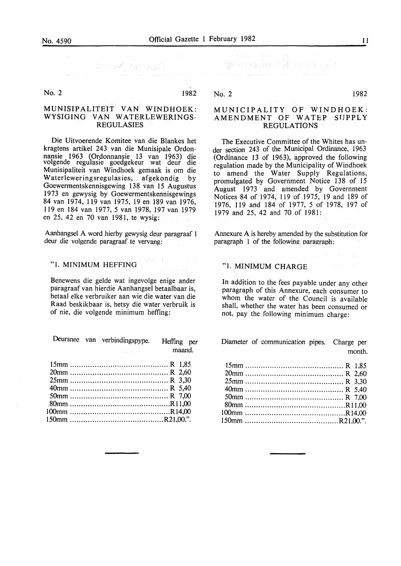### MUNISIPALITEIT VAN WINDHOEK: WYSIGING VAN WATERLEWERINGS-REGULASIES

Die Uitvoerende Komitee van die Blankes het kragtens artikel 243 van die Munisipale Ordonnansie 1963 (Ordonnansie 13 van 1963) die volgende regulasie goedgekeur wat deur die Munisipaliteit van Windhoek gemaak is om die Waterleweringsregulasies, afgekondig by Goewermentskennisgewing 138 van 15 Augustus 1973 en gewysig by Goewermentskennisgewings 84 van 1974, 119 van 1975, 19 en 189 van 1976, 119 en 184 van 1977, 5 van 1978, 197 van 1979 en 25, 42 en 70 van 1981, te wysig:

Aanhangsel A word hierby gewysig deur paragraaf 1 deur die volgende paragraaf te vervang:

#### "1. MINIMUM HEFFING

Benewens die gelde wat ingevolge enige ander paragraaf van hierdie Aanhangsel betaalbaar is, betaal elke verbruiker aan wie die water van die Raad beskikbaar is, hetsy die water verbruik is of nie, die volgende minimum heffing:

|  | Deursnee van verbindingspype. | Heffing per |  |
|--|-------------------------------|-------------|--|
|  |                               | . 1         |  |

maand.

No. 2 1982

#### MUNICIPALITY OF WINDHOEK: AMENDMENT OF WATEP SUPPLY REGULATIONS

The Executive Committee of the Whites has under section 243 of the Municipal Ordinance, 1963 (Ordinance 13 of 1963), approved the following regulation made by the Municipality of Windhoek to amend the Water Supply Regulations, promulgated by Government Notice 138 of 15 August 1973 and amended by Government Notices 84 of 1974, 119 of 1975, 19 and 189 of 1976, 119 and 184 of 1977, 5 of 1978, 197 of 1979 and 25, 42 and 70 of 1981:

Annexure A is hereby amended by the substitution for paragraph 1 of the following paragraph:

"1. MINIMUM CHARGE

In addition to the fees payable under any other paragraph of this Annexure, each consumer to whom the water of the Council is available shall, whether the water has been consumed or not, pay the following minimum charge:

Diameter of communication pipes. Charge per month.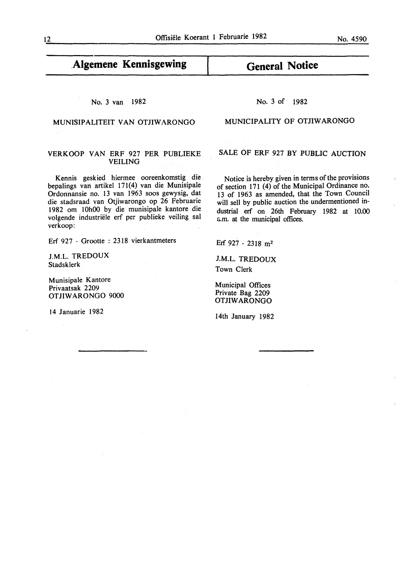## **.Algemene Kennisgewing**

#### No. 3 van 1982

### MUNISIPALITEIT VAN OTJIWARONGO

#### VERKOOP VAN ERF 927 PER PUBLIEKE VEILING

Kennis geskied hiermee ooreenkomstig die bepalings van artikel 171(4) van die Munisipale Ordonnansie no. 13 van 1963 soos gewysig, dat die stadsraad van Otjiwarongo op 26 Februarie 1982 om l OhOO by die munisipale kantore die volgende industriele erf per publieke veiling sal verkoop:

Erf 927 - Grootte : 2318 vierkantmeters

J.M.L. TREDOUX Stadsklerk

Munisipale Kantore Privaatsak 2209 OTJIWARONGO 9000

14 Januarie 1982

No. 3 of 1982

**General Notice** 

#### MUNICIPALITY OF OTJIW ARONGO

SALE OF ERF 927 BY PUBLIC AUCTION

Notice is hereby given in terms of the provisions of section 171 $(4)$  of the Municipal Ordinance no. 13 of 1963 as amended, that the Town Council will sell by public auction the undermentioned industrial erf on 26th February 1982 at 10.00 a.m. at the municipal offices.

Erf 927 - 2318 m<sup>2</sup>

J.M.L. TREDOUX Town Clerk

Municipal Offices Private Bag 2209 OTJIWARONGO

14th January 1982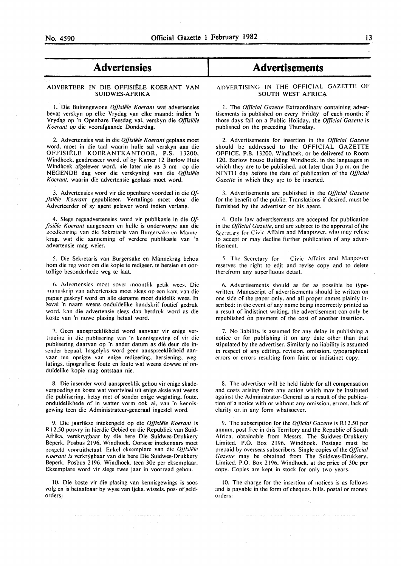### - **Advertensies**

# Advertensies<br>ADVERTEER IN DIE OFFISIËLE KOERANT VAN SUIDWES-AFRIKA

I. Die Buitengewone *Offisiele Koerant* wat advertensies bevat verskyn op elke Vrydag van elke maand; indien 'n Vrydag op 'n Openbare Feesdag val, verskyn die Offisiële *K oerant op* die voorafgaande Donderdag.

2. Advertensies wat in die *Offisiele Koerant* geplaas moet word, moet in die taal waarin hulle sal verskyn aan die OFFISIELE KOERANTKANTOOR, P.S. 13200, Windhoek, geadresseer word, of by Kamer 12 Barlow Huis Windhoek afgelewer word, nie later nie as 3 nm op die NEGENDE dag voor die verskyning van die *Offisiele Koerant,* waarin die advertensie geplaas moet word.

3. Advertensies word vir die openbare voordeel in die *Of- \_(isii!'le Koerant* gepubliseer. Vertalings moet deur die Adverteerder of sy agent gelewer word indien verlang.

4. Slegs regsadvertensies word vir publikasie in die *Of- \_(isii!le K oerant* aangeneem en hulle is onderworpe aan die goedkeuring van die Sekretaris van Burgersake en Mannekrag, wat die aanneming of verdere publikasie van 'n advcrtensie mag weier.

5. Die Sekretaris van Burgersake en Mannekrag behou hom die reg voor om die kopie te redigeer, te hersien en oortollige besonderhede weg te laat.

6. Advertensies moet sover moontlik getik wees. Die manuskrip van advertensies moet slegs op een kant van die papier geskryf word en aile eiename moet duidelik wees. In eval 'n naam weens onduidelike handskrif foutief gedruk word. kan die advertensie slegs dan herdruk word as die koste van 'n nuwe plasing betaal word.

7. Geen aanspreeklikheid word aanvaar vir enige vertraging in die publisering van 'n kennisgewing of vir die publisering daarvan op 'n ander datum as die deur die insender bepaal. Insgelyks word geen aanspreeklikheid aanvaar ten opsigte van enige redigering. hersiening. weglatings. tipografiese foute en foute wat weens dowwe of onduidelike kopie mag ontstaan nie.

8. Die insender word aanspreeklik gehou vir enige skadevergoeding en koste wat voortvloei uit enige aksie wat weens die publisering, hetsy met of sonder enige weglating, foute. onduidelikhede of in watter vorm ook al, van 'n kennisgewing teen die Administrateur-generaal ingestel word.

9. Die jaarlikse intekengeld op die *Offisiele Koerant* is R 12.50 posvry in hierdie Gebied en die Republiek van Suid-Afrika. verskrygbaar by die here Die Suidwes-Drukkery Beperk. Posbus 2196, Windhoek. Oorsese intekenaars moet posgeld vooruitbetaal. Enkel eksemplare van die *Offisiële* 1\.0era/11 *is* verkrygbaar van die here Die Suidwes-Drukkery Beperk. Posbus 2196. Windhoek, teen 30c per eksemplaar. Eksemplare word vir slegs twee jaar in voorraad gehou.

10. Die koste vir die plasing van kennisgewings is soos volg en is betaalbaar by wyse van tjeks. wissels, pos- of geldorders.:

### **Advertisements**

#### ADVERTISING IN THE OFFICIAL GAZETTE OF SOUTH WEST AFRICA

I. The *Official Gazelle* Extraordinary containing advertisements is published on every Friday of each month: if those days fall on a Public Holiday, the *Official Gazelle* is published on the preceding Thursday.

2. Advertisements for insertion in the *Qflicial Gazelle*  should be addressed to the OFFICIAL GAZETTE OFFICE. P.B. 13200. Windhoek. or be delivered to Room 120. Barlow house Building Windhoek. in the languages in which they are to be published. not later than 3 p.m. on the NINTH day before the date of publication of the *Official*  Gazette in which they are to be inserted.

3. Advertisements are published in the *Qflicial Gazette*  for the benefit of the public. Translations if desired. must be furnished by the advertiser or his agent.

4. Only law advertisements are accepted for publication in the *Qflicial Gazelle,* and are subject to the approval of the Secretary for Civic Affairs and Manpower. who may refuse to accept or may decline further publication of any advertisement.

5. The Secretary for Civic Affairs and Manpower reserves the right to edit and revise copy and to delete therefrom any superfluous detail.

6. Advertisements should as far as possible be typewritten. Manuscript of advertisements should be written on one side of the paper only. and all proper names plainly inscribed: in the event of any name being incorrectly printed as a result of indistinct writing. the advertisement can only be republished on payment of the cost of another insertion.

7. No liability is assumed for any delay in publishing a notice or for publishing it on any date other than that stipulated by the advertiser. Similarly no liability is assumed in respect of any editing. revision. omission. typographical errors or errors resulting from faint or indistinct copy.

8. The advertiser will be held liable for all compensation and costs arising from any action which may be instituted against the Administrator-General as a result of the publication of a notice with or without any omission. errors. lack of clarity or in any form whatsoever.

9. The subscription for the *Official Gazette* is R12.50 per annum. post free in this Territory and the Republic of South Africa. obtainable from Messrs. The Suidwes-Drukkery Limited. P.O. Box 2196. Windhoek. Postage must be prepaid by overseas subscribers. Single copies of the *Qflicial*  Gazette may be obtained from The Suidwes-Drukkery. Limited. P.O. Box 2196. Windhoek. at the price of 30c per copy. Copies are kept in stock for only two years.

10. The charge for the insertion of notices is as follows and is payable in the form of cheques. bills. postal or money orders: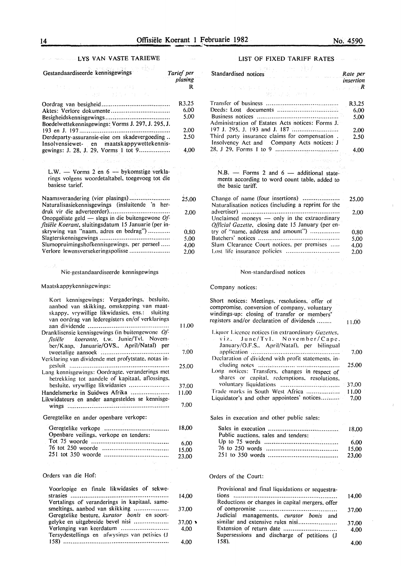#### LYS VAN VASTE TARIEWE  $\label{eq:R} \hat{R}^{(1)} = \hat{z} \hat{\lambda}^{(1)} \hat{z}^{\dagger} \hat{\Sigma} \hat{\Sigma} \hat{\Sigma}^{\dagger} \hat{\Sigma}^{\dagger} \hat{\Sigma}^{\dagger} \hat{\Sigma}^{\dagger} \hat{\Sigma}^{\dagger} \hat{\Sigma}^{\dagger} \hat{\Sigma}^{\dagger} \hat{\Sigma}^{\dagger}$

| Gestandaardiseerde kennisgewings                                                  | Tarief per<br>plasing |
|-----------------------------------------------------------------------------------|-----------------------|
| Manufacturer (1999)                                                               | R                     |
| 机调整 计图片设计程序                                                                       |                       |
|                                                                                   | R3.25                 |
|                                                                                   | 6.00                  |
|                                                                                   | 5.00                  |
| Boedelwettekennisgewings: Vorms J. 297, J. 295, J.                                |                       |
|                                                                                   | 2,00                  |
| Derdeparty-assuransie-eise om skadevergoeding                                     | 2,50                  |
|                                                                                   |                       |
| Insolvensiewet- en maatskappywettekennis-<br>gewings: J. 28, J. 29, Vorms 1 tot 9 | 4,00                  |
|                                                                                   |                       |
|                                                                                   |                       |
| L.W. $-$ Vorms 2 en $6 -$ by komstige verkla-                                     |                       |
| rings volgens woordetaltabel, toegevoeg tot die                                   |                       |
| basiese tarief.                                                                   |                       |
|                                                                                   |                       |
| Naamsverandering (vier plasings)                                                  | 25,00                 |
| Naturalisasiekennisgewings (insluitende 'n her-                                   |                       |
| druk vir die adverteerder)                                                        | 2.00                  |
| Onopgeëiste geld $-$ slegs in die buitengewone Of-                                |                       |
| fisiële Koerant, sluitingsdatum 15 Januarie (per in-                              |                       |
| skrywing van "naam, adres en bedrag")                                             | 0.80                  |
|                                                                                   | 5,00                  |
| Slumopruimingshofkennisgewings, per perseel                                       | 4.00                  |
| Verlore lewensversekeringspolisse                                                 | 2.00                  |
|                                                                                   |                       |
| os As                                                                             |                       |
| Nie-gestandaardiseerde kennisgewings                                              |                       |
|                                                                                   |                       |
| Maatskappykennisgewings:<br>and the<br>$\sim$<br>and the company<br>1920-1930     |                       |
| Kort kennisgewings: Vergaderings, besluite,                                       |                       |
| aanbod van skikking, omskepping van maat-                                         |                       |
| skappy, vrywillige likwidasies, ens.: sluiting                                    |                       |
| van oordrag van lederegisters en/of verklarings                                   |                       |
|                                                                                   | 11.00                 |
| Dranklisensie kennisgewings (in buitengewone Of-                                  |                       |
| fisiële koeranie, t.w. Junie/Tvl. Novem-                                          |                       |
| ber/Kaap, Januarie/OVS., April/Natal) per                                         | Turit.                |
|                                                                                   | 7.00                  |
| Verklaring van dividende met profytstate, notas in-                               |                       |
|                                                                                   | 25.00                 |
| Lang kennisgewings: Oordragte, veranderings met                                   |                       |
| betrekking tot aandele of kapitaal, aflossings,                                   |                       |

|                                                 | -37.00 |
|-------------------------------------------------|--------|
|                                                 | 11.00  |
| Likwidateurs en ander aangesteldes se kennisge- |        |
|                                                 | 7.00   |

Geregtelike en ander openbare verkope:

|                                        | 18.00 |
|----------------------------------------|-------|
| Openbare veilings, verkope en tenders: |       |
|                                        | 6.00  |
|                                        | 15.00 |
|                                        | 23.00 |

#### Orders van die Hof:

| Voorlopige en finale likwidasies of sekwe-    |                |
|-----------------------------------------------|----------------|
|                                               | 14.00          |
| Vertalings of veranderings in kapitaal, same- |                |
| smeltings, aanbod van skikking                | 37.00          |
| Geregtelike besture, kurator bonis en soort-  |                |
| gelyke en uitgebreide bevel nisi              | $37.00 \times$ |
|                                               | 4.00           |
| Tersydestellings en afwysings van petisies (J |                |
|                                               | 4.00           |

### LIST OF FIXED TARIFF RATES

| HE 1333                                                                                             |                                 |
|-----------------------------------------------------------------------------------------------------|---------------------------------|
| Standardised notices<br>$\label{eq:1} \frac{1}{2\pi^2\sqrt{2\pi}\, \sigma^2} \, \frac{1}{\sigma^2}$ | Rate per<br>insertion           |
| ひんい おおしん ふくしかいしょう<br>好之以克 (Req) >                                                                   | where $\mathbb{R}^n$ is the $R$ |
|                                                                                                     |                                 |
|                                                                                                     | R3,25                           |
|                                                                                                     | 6.00                            |
|                                                                                                     | 5.00                            |
| Administration of Estates Acts notices: Forms J.                                                    |                                 |
|                                                                                                     | 2.00                            |
| Third party insurance claims for compensation.<br>Insolvency Act and Company Acts notices: J        | 2.50                            |
|                                                                                                     | 4.00                            |
| and the state of the construction of the state                                                      |                                 |
| $N.B.$ - Forms 2 and 6 - additional state-                                                          |                                 |
| ments according to word count table, added to<br>the basic tariff.                                  |                                 |
| Change of name (four insertions)                                                                    | 25.00                           |
| Naturalisation notices (including a reprint for the                                                 |                                 |
|                                                                                                     | 2.00                            |
| Unclaimed moneys - only in the extraordinary<br>Official Gazette, closing date 15 January (per en-  |                                 |
| try of "name, address and amount")                                                                  | 0.80                            |
|                                                                                                     | 5.00                            |
| Slum Clearance Court notices, per premises                                                          | 4.00                            |
|                                                                                                     | 2.00                            |
|                                                                                                     |                                 |
| コンティング アンドランス かいぼう おおし かいしょう けいこうしょう                                                                |                                 |

#### Non-standardised notices

Company notices:

| Short notices: Meetings, resolutions, offer of<br>compromise, conversion of company, voluntary |       |
|------------------------------------------------------------------------------------------------|-------|
| windings-up: closing of transfer or members'                                                   |       |
| registers and/or declaration of dividends                                                      | 11.00 |
| Liquor Licence notices (in extraordinary Gazettes,                                             |       |
| $\sim$ viz. June/Tvl. November/Cape.                                                           |       |
| January/O.F.S., April/Natal), per bilingual                                                    |       |
|                                                                                                | 7.00  |
| Declaration of dividend with profit statements, in-                                            |       |
|                                                                                                | 25.00 |
| Long notices: Transfers, changes in respect of                                                 |       |
| shares or capital, redemptions, resolutions,                                                   |       |
|                                                                                                | 37,00 |
| Trade marks in South West Africa                                                               | 11.00 |
| Liquidator's and other appointees' notices                                                     | 7.00  |
|                                                                                                |       |

Sales in execution and other public sales:

| Public auctions, sales and tenders: |        |
|-------------------------------------|--------|
|                                     | - 6.00 |
|                                     |        |
|                                     | 23.00  |

### Orders of the Court:

| Provisional and final liquidations or sequestra- |       |
|--------------------------------------------------|-------|
|                                                  | 14.00 |
| Reductions or changes in capital mergers, offer  |       |
|                                                  | 37.00 |
| Judicial managements, curator bonis and          |       |
| similar and extensive rules nisi                 | 37.00 |
| Extension of return date                         | 4.00  |
| Supersessions and discharge of petitions (J      |       |
| 158).                                            |       |